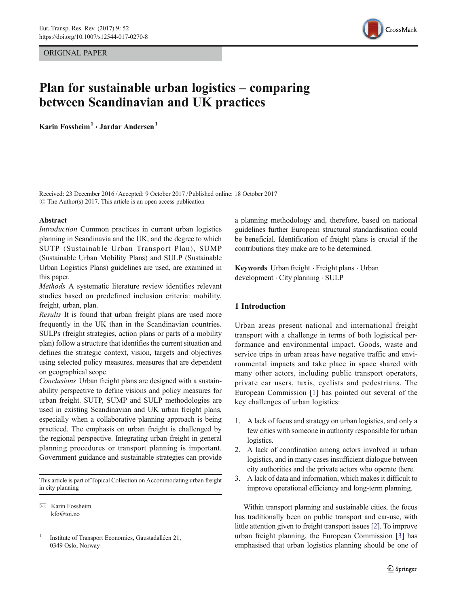ORIGINAL PAPER



# Plan for sustainable urban logistics – comparing between Scandinavian and UK practices

Karin Fossheim<sup>1</sup>  $\cdot$  Jardar Andersen<sup>1</sup>

Received: 23 December 2016 /Accepted: 9 October 2017 /Published online: 18 October 2017  $\circ$  The Author(s) 2017. This article is an open access publication

## Abstract

Introduction Common practices in current urban logistics planning in Scandinavia and the UK, and the degree to which SUTP (Sustainable Urban Transport Plan), SUMP (Sustainable Urban Mobility Plans) and SULP (Sustainable Urban Logistics Plans) guidelines are used, are examined in this paper.

Methods A systematic literature review identifies relevant studies based on predefined inclusion criteria: mobility, freight, urban, plan.

Results It is found that urban freight plans are used more frequently in the UK than in the Scandinavian countries. SULPs (freight strategies, action plans or parts of a mobility plan) follow a structure that identifies the current situation and defines the strategic context, vision, targets and objectives using selected policy measures, measures that are dependent on geographical scope.

Conclusions Urban freight plans are designed with a sustainability perspective to define visions and policy measures for urban freight. SUTP, SUMP and SULP methodologies are used in existing Scandinavian and UK urban freight plans, especially when a collaborative planning approach is being practiced. The emphasis on urban freight is challenged by the regional perspective. Integrating urban freight in general planning procedures or transport planning is important. Government guidance and sustainable strategies can provide

This article is part of Topical Collection on Accommodating urban freight in city planning

a planning methodology and, therefore, based on national guidelines further European structural standardisation could be beneficial. Identification of freight plans is crucial if the contributions they make are to be determined.

Keywords Urban freight . Freight plans . Urban development . City planning . SULP

# 1 Introduction

Urban areas present national and international freight transport with a challenge in terms of both logistical performance and environmental impact. Goods, waste and service trips in urban areas have negative traffic and environmental impacts and take place in space shared with many other actors, including public transport operators, private car users, taxis, cyclists and pedestrians. The European Commission [[1\]](#page-10-0) has pointed out several of the key challenges of urban logistics:

- 1. A lack of focus and strategy on urban logistics, and only a few cities with someone in authority responsible for urban logistics.
- 2. A lack of coordination among actors involved in urban logistics, and in many cases insufficient dialogue between city authorities and the private actors who operate there.
- 3. A lack of data and information, which makes it difficult to improve operational efficiency and long-term planning.

Within transport planning and sustainable cities, the focus has traditionally been on public transport and car-use, with little attention given to freight transport issues [\[2\]](#page-10-0). To improve urban freight planning, the European Commission [[3\]](#page-10-0) has emphasised that urban logistics planning should be one of

 $\boxtimes$  Karin Fossheim [kfo@toi.no](mailto:kfo@toi.no)

<sup>1</sup> Institute of Transport Economics, Gaustadalléen 21, 0349 Oslo, Norway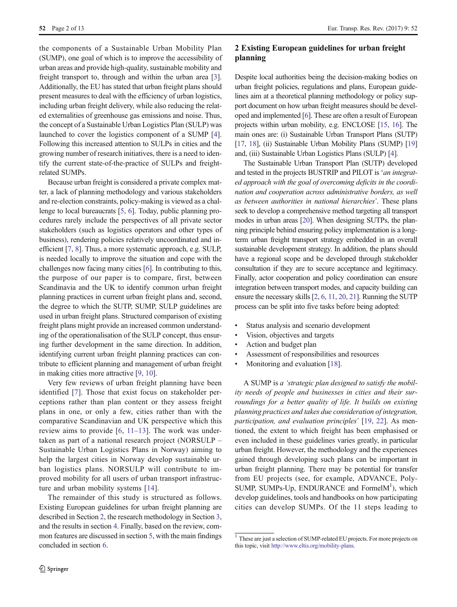the components of a Sustainable Urban Mobility Plan (SUMP), one goal of which is to improve the accessibility of urban areas and provide high-quality, sustainable mobility and freight transport to, through and within the urban area [[3](#page-10-0)]. Additionally, the EU has stated that urban freight plans should present measures to deal with the efficiency of urban logistics, including urban freight delivery, while also reducing the related externalities of greenhouse gas emissions and noise. Thus, the concept of a Sustainable Urban Logistics Plan (SULP) was launched to cover the logistics component of a SUMP [[4](#page-10-0)]. Following this increased attention to SULPs in cities and the growing number of research initiatives, there is a need to identify the current state-of-the-practice of SULPs and freightrelated SUMPs.

Because urban freight is considered a private complex matter, a lack of planning methodology and various stakeholders and re-election constraints, policy-making is viewed as a challenge to local bureaucrats [[5,](#page-10-0) [6\]](#page-10-0). Today, public planning procedures rarely include the perspectives of all private sector stakeholders (such as logistics operators and other types of business), rendering policies relatively uncoordinated and inefficient [\[7](#page-10-0), [8\]](#page-10-0). Thus, a more systematic approach, e.g. SULP, is needed locally to improve the situation and cope with the challenges now facing many cities [[6\]](#page-10-0). In contributing to this, the purpose of our paper is to compare, first, between Scandinavia and the UK to identify common urban freight planning practices in current urban freight plans and, second, the degree to which the SUTP, SUMP, SULP guidelines are used in urban freight plans. Structured comparison of existing freight plans might provide an increased common understanding of the operationalisation of the SULP concept, thus ensuring further development in the same direction. In addition, identifying current urban freight planning practices can contribute to efficient planning and management of urban freight in making cities more attractive [[9,](#page-10-0) [10](#page-10-0)].

Very few reviews of urban freight planning have been identified [[7](#page-10-0)]. Those that exist focus on stakeholder perceptions rather than plan content or they assess freight plans in one, or only a few, cities rather than with the comparative Scandinavian and UK perspective which this review aims to provide [[6](#page-10-0), [11](#page-10-0)–[13](#page-11-0)]. The work was undertaken as part of a national research project (NORSULP – Sustainable Urban Logistics Plans in Norway) aiming to help the largest cities in Norway develop sustainable urban logistics plans. NORSULP will contribute to improved mobility for all users of urban transport infrastructure and urban mobility systems [\[14\]](#page-11-0).

The remainder of this study is structured as follows. Existing European guidelines for urban freight planning are described in Section 2, the research methodology in Section [3,](#page-2-0) and the results in section [4.](#page-2-0) Finally, based on the review, common features are discussed in section [5,](#page-8-0) with the main findings concluded in section [6.](#page-10-0)

# 2 Existing European guidelines for urban freight planning

Despite local authorities being the decision-making bodies on urban freight policies, regulations and plans, European guidelines aim at a theoretical planning methodology or policy support document on how urban freight measures should be developed and implemented [\[6\]](#page-10-0). These are often a result of European projects within urban mobility, e.g. ENCLOSE [[15](#page-11-0), [16](#page-11-0)]. The main ones are: (i) Sustainable Urban Transport Plans (SUTP) [\[17,](#page-11-0) [18](#page-11-0)], (ii) Sustainable Urban Mobility Plans (SUMP) [\[19](#page-11-0)] and, (iii) Sustainable Urban Logistics Plans (SULP) [\[4\]](#page-10-0).

The Sustainable Urban Transport Plan (SUTP) developed and tested in the projects BUSTRIP and PILOT is 'an integrated approach with the goal of overcoming deficits in the coordination and cooperation across administrative borders, as well as between authorities in national hierarchies'. These plans seek to develop a comprehensive method targeting all transport modes in urban areas [\[20\]](#page-11-0). When designing SUTPs, the planning principle behind ensuring policy implementation is a longterm urban freight transport strategy embedded in an overall sustainable development strategy. In addition, the plans should have a regional scope and be developed through stakeholder consultation if they are to secure acceptance and legitimacy. Finally, actor cooperation and policy coordination can ensure integration between transport modes, and capacity building can ensure the necessary skills [\[2](#page-10-0), [6](#page-10-0), [11](#page-10-0), [20,](#page-11-0) [21\]](#page-11-0). Running the SUTP process can be split into five tasks before being adopted:

- Status analysis and scenario development
- & Vision, objectives and targets
- Action and budget plan
- & Assessment of responsibilities and resources
- Monitoring and evaluation  $[18]$  $[18]$  $[18]$ .

A SUMP is a 'strategic plan designed to satisfy the mobility needs of people and businesses in cities and their surroundings for a better quality of life. It builds on existing planning practices and takes due consideration of integration, participation, and evaluation principles' [[19](#page-11-0), [22](#page-11-0)]. As mentioned, the extent to which freight has been emphasised or even included in these guidelines varies greatly, in particular urban freight. However, the methodology and the experiences gained through developing such plans can be important in urban freight planning. There may be potential for transfer from EU projects (see, for example, ADVANCE, Poly-SUMP, SUMPs-Up, ENDURANCE and Formel $M<sup>1</sup>$ ), which develop guidelines, tools and handbooks on how participating cities can develop SUMPs. Of the 11 steps leading to

<sup>&</sup>lt;sup>1</sup> These are just a selection of SUMP-related EU projects. For more projects on this topic, visit [http://www.eltis.org/mobility-plans.](http://www.eltis.org/mobility-plans)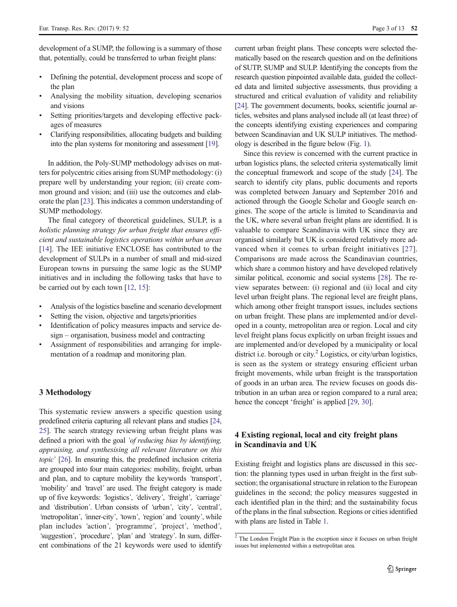<span id="page-2-0"></span>development of a SUMP, the following is a summary of those that, potentially, could be transferred to urban freight plans:

- Defining the potential, development process and scope of the plan
- & Analysing the mobility situation, developing scenarios and visions
- Setting priorities/targets and developing effective packages of measures
- Clarifying responsibilities, allocating budgets and building into the plan systems for monitoring and assessment [\[19\]](#page-11-0).

In addition, the Poly-SUMP methodology advises on matters for polycentric cities arising from SUMP methodology: (i) prepare well by understanding your region; (ii) create common ground and vision; and (iii) use the outcomes and elaborate the plan [\[23\]](#page-11-0). This indicates a common understanding of SUMP methodology.

The final category of theoretical guidelines, SULP, is a holistic planning strategy for urban freight that ensures efficient and sustainable logistics operations within urban areas [\[14](#page-11-0)]. The IEE initiative ENCLOSE has contributed to the development of SULPs in a number of small and mid-sized European towns in pursuing the same logic as the SUMP initiatives and in including the following tasks that have to be carried out by each town [\[12](#page-10-0), [15\]](#page-11-0):

- & Analysis of the logistics baseline and scenario development
- Setting the vision, objective and targets/priorities
- Identification of policy measures impacts and service design – organisation, business model and contracting
- & Assignment of responsibilities and arranging for implementation of a roadmap and monitoring plan.

## 3 Methodology

This systematic review answers a specific question using predefined criteria capturing all relevant plans and studies [\[24,](#page-11-0) [25\]](#page-11-0). The search strategy reviewing urban freight plans was defined a priori with the goal 'of reducing bias by identifying, appraising, and synthesising all relevant literature on this topic' [\[26\]](#page-11-0). In ensuring this, the predefined inclusion criteria are grouped into four main categories: mobility, freight, urban and plan, and to capture mobility the keywords 'transport', 'mobility' and 'travel' are used. The freight category is made up of five keywords: 'logistics', 'delivery', 'freight', 'carriage' and 'distribution'. Urban consists of 'urban', 'city', 'central', 'metropolitan', 'inner-city', 'town', 'region' and 'county', while plan includes 'action', 'programme', 'project', 'method', 'suggestion', 'procedure', 'plan' and 'strategy'. In sum, different combinations of the 21 keywords were used to identify current urban freight plans. These concepts were selected thematically based on the research question and on the definitions of SUTP, SUMP and SULP. Identifying the concepts from the research question pinpointed available data, guided the collected data and limited subjective assessments, thus providing a structured and critical evaluation of validity and reliability [\[24\]](#page-11-0). The government documents, books, scientific journal articles, websites and plans analysed include all (at least three) of the concepts identifying existing experiences and comparing between Scandinavian and UK SULP initiatives. The methodology is described in the figure below (Fig. [1\)](#page-3-0).

Since this review is concerned with the current practice in urban logistics plans, the selected criteria systematically limit the conceptual framework and scope of the study [\[24](#page-11-0)]. The search to identify city plans, public documents and reports was completed between January and September 2016 and actioned through the Google Scholar and Google search engines. The scope of the article is limited to Scandinavia and the UK, where several urban freight plans are identified. It is valuable to compare Scandinavia with UK since they are organised similarly but UK is considered relatively more advanced when it comes to urban freight initiatives [[27](#page-11-0)]. Comparisons are made across the Scandinavian countries, which share a common history and have developed relatively similar political, economic and social systems [\[28\]](#page-11-0). The review separates between: (i) regional and (ii) local and city level urban freight plans. The regional level are freight plans, which among other freight transport issues, includes sections on urban freight. These plans are implemented and/or developed in a county, metropolitan area or region. Local and city level freight plans focus explicitly on urban freight issues and are implemented and/or developed by a municipality or local district i.e. borough or city.<sup>2</sup> Logistics, or city/urban logistics, is seen as the system or strategy ensuring efficient urban freight movements, while urban freight is the transportation of goods in an urban area. The review focuses on goods distribution in an urban area or region compared to a rural area; hence the concept 'freight' is applied [\[29](#page-11-0), [30\]](#page-11-0).

# 4 Existing regional, local and city freight plans in Scandinavia and UK

Existing freight and logistics plans are discussed in this section: the planning types used in urban freight in the first subsection; the organisational structure in relation to the European guidelines in the second; the policy measures suggested in each identified plan in the third; and the sustainability focus of the plans in the final subsection. Regions or cities identified with plans are listed in Table [1.](#page-4-0)

<sup>&</sup>lt;sup>2</sup> The London Freight Plan is the exception since it focuses on urban freight issues but implemented within a metropolitan area.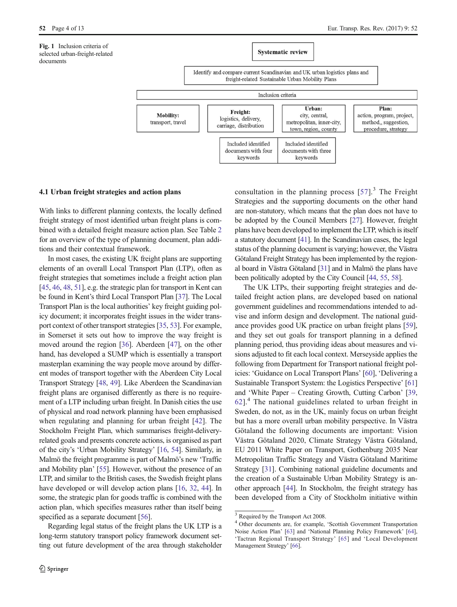<span id="page-3-0"></span>Fig. 1 Inclusion criteria of selected urban-freight-related documents



## 4.1 Urban freight strategies and action plans

With links to different planning contexts, the locally defined freight strategy of most identified urban freight plans is combined with a detailed freight measure action plan. See Table [2](#page-5-0) for an overview of the type of planning document, plan additions and their contextual framework.

In most cases, the existing UK freight plans are supporting elements of an overall Local Transport Plan (LTP), often as freight strategies that sometimes include a freight action plan [\[45,](#page-11-0) [46](#page-11-0), [48](#page-11-0), [51](#page-11-0)], e.g. the strategic plan for transport in Kent can be found in Kent's third Local Transport Plan [\[37\]](#page-11-0). The Local Transport Plan is the local authorities' key freight guiding policy document; it incorporates freight issues in the wider transport context of other transport strategies [\[35](#page-11-0), [53](#page-11-0)]. For example, in Somerset it sets out how to improve the way freight is moved around the region [\[36](#page-11-0)]. Aberdeen [[47](#page-11-0)], on the other hand, has developed a SUMP which is essentially a transport masterplan examining the way people move around by different modes of transport together with the Aberdeen City Local Transport Strategy [[48](#page-11-0), [49](#page-11-0)]. Like Aberdeen the Scandinavian freight plans are organised differently as there is no requirement of a LTP including urban freight. In Danish cities the use of physical and road network planning have been emphasised when regulating and planning for urban freight [[42\]](#page-11-0). The Stockholm Freight Plan, which summarises freight-deliveryrelated goals and presents concrete actions, is organised as part of the city's 'Urban Mobility Strategy' [\[16,](#page-11-0) [54\]](#page-11-0). Similarly, in Malmö the freight programme is part of Malmö's new 'Traffic and Mobility plan' [\[55\]](#page-11-0). However, without the presence of an LTP, and similar to the British cases, the Swedish freight plans have developed or will develop action plans [[16](#page-11-0), [32,](#page-11-0) [44](#page-11-0)]. In some, the strategic plan for goods traffic is combined with the action plan, which specifies measures rather than itself being specified as a separate document [\[56\]](#page-11-0).

Regarding legal status of the freight plans the UK LTP is a long-term statutory transport policy framework document setting out future development of the area through stakeholder consultation in the planning process  $[57]$  $[57]$  $[57]$ <sup>3</sup>. The Freight Strategies and the supporting documents on the other hand are non-statutory, which means that the plan does not have to be adopted by the Council Members [\[27\]](#page-11-0). However, freight plans have been developed to implement the LTP, which is itself a statutory document [\[41](#page-11-0)]. In the Scandinavian cases, the legal status of the planning document is varying; however, the Västra Götaland Freight Strategy has been implemented by the regional board in Västra Götaland [\[31\]](#page-11-0) and in Malmö the plans have been politically adopted by the City Council [\[44,](#page-11-0) [55](#page-11-0), [58\]](#page-11-0).

The UK LTPs, their supporting freight strategies and detailed freight action plans, are developed based on national government guidelines and recommendations intended to advise and inform design and development. The national guidance provides good UK practice on urban freight plans [[59\]](#page-11-0), and they set out goals for transport planning in a defined planning period, thus providing ideas about measures and visions adjusted to fit each local context. Merseyside applies the following from Department for Transport national freight policies: 'Guidance on Local Transport Plans' [[60\]](#page-11-0), 'Delivering a Sustainable Transport System: the Logistics Perspective' [\[61](#page-11-0)] and 'White Paper – Creating Growth, Cutting Carbon' [\[39,](#page-11-0)  $62$ ].<sup>4</sup> The national guidelines related to urban freight in Sweden, do not, as in the UK, mainly focus on urban freight but has a more overall urban mobility perspective. In Västra Götaland the following documents are important: Vision Västra Götaland 2020, Climate Strategy Västra Götaland, EU 2011 White Paper on Transport, Gothenburg 2035 Near Metropolitan Traffic Strategy and Västra Götaland Maritime Strategy [[31\]](#page-11-0). Combining national guideline documents and the creation of a Sustainable Urban Mobility Strategy is another approach [\[44](#page-11-0)]. In Stockholm, the freight strategy has been developed from a City of Stockholm initiative within

<sup>3</sup> Required by the Transport Act 2008.

<sup>4</sup> Other documents are, for example, 'Scottish Government Transportation Noise Action Plan' [[63\]](#page-11-0) and 'National Planning Policy Framework' [[64\]](#page-11-0), 'Tactran Regional Transport Strategy' [[65\]](#page-11-0) and 'Local Development Management Strategy' [\[66\]](#page-11-0).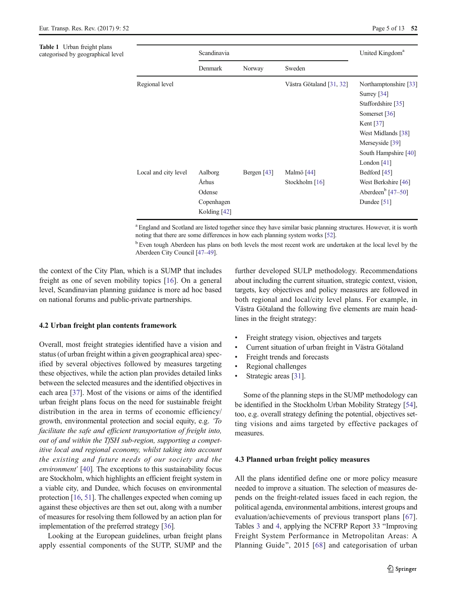<span id="page-4-0"></span>Table 1 Urban freight plans categorised by geographical level

| Scandinavia  |               |                          | United Kingdom <sup>a</sup> |
|--------------|---------------|--------------------------|-----------------------------|
| Denmark      | Norway        | Sweden                   |                             |
|              |               | Västra Götaland [31, 32] | Northamptonshire [33]       |
|              |               |                          | Surrey $[34]$               |
|              |               |                          | Staffordshire [35]          |
|              |               |                          | Somerset [36]               |
|              |               |                          | Kent $[37]$                 |
|              |               |                          | West Midlands [38]          |
|              |               |                          | Merseyside [39]             |
|              |               |                          | South Hampshire [40]        |
|              |               |                          | London $[41]$               |
| Aalborg      | Bergen $[43]$ | Malmö [44]               | Bedford [45]                |
| Århus        |               | Stockholm [16]           | West Berkshire [46]         |
| Odense       |               |                          | Aberdeen $b$ [47-50]        |
| Copenhagen   |               |                          | Dundee $[51]$               |
| Kolding [42] |               |                          |                             |
|              |               |                          |                             |

<sup>a</sup> England and Scotland are listed together since they have similar basic planning structures. However, it is worth noting that there are some differences in how each planning system works [[52](#page-11-0)].

<sup>b</sup> Even tough Aberdeen has plans on both levels the most recent work are undertaken at the local level by the Aberdeen City Council [\[47](#page-11-0)–[49\]](#page-11-0).

the context of the City Plan, which is a SUMP that includes freight as one of seven mobility topics [[16\]](#page-11-0). On a general level, Scandinavian planning guidance is more ad hoc based on national forums and public-private partnerships.

## 4.2 Urban freight plan contents framework

Overall, most freight strategies identified have a vision and status (of urban freight within a given geographical area) specified by several objectives followed by measures targeting these objectives, while the action plan provides detailed links between the selected measures and the identified objectives in each area [\[37](#page-11-0)]. Most of the visions or aims of the identified urban freight plans focus on the need for sustainable freight distribution in the area in terms of economic efficiency/ growth, environmental protection and social equity, e.g. 'To facilitate the safe and efficient transportation of freight into, out of and within the TfSH sub-region, supporting a competitive local and regional economy, whilst taking into account the existing and future needs of our society and the environment' [[40](#page-11-0)]. The exceptions to this sustainability focus are Stockholm, which highlights an efficient freight system in a viable city, and Dundee, which focuses on environmental protection [\[16](#page-11-0), [51\]](#page-11-0). The challenges expected when coming up against these objectives are then set out, along with a number of measures for resolving them followed by an action plan for implementation of the preferred strategy [\[36](#page-11-0)].

Looking at the European guidelines, urban freight plans apply essential components of the SUTP, SUMP and the

further developed SULP methodology. Recommendations about including the current situation, strategic context, vision, targets, key objectives and policy measures are followed in both regional and local/city level plans. For example, in Västra Götaland the following five elements are main headlines in the freight strategy:

- Freight strategy vision, objectives and targets
- & Current situation of urban freight in Västra Götaland
- Freight trends and forecasts
- Regional challenges
- Strategic areas [\[31\]](#page-11-0).

Some of the planning steps in the SUMP methodology can be identified in the Stockholm Urban Mobility Strategy [[54\]](#page-11-0), too, e.g. overall strategy defining the potential, objectives setting visions and aims targeted by effective packages of measures.

## 4.3 Planned urban freight policy measures

All the plans identified define one or more policy measure needed to improve a situation. The selection of measures depends on the freight-related issues faced in each region, the political agenda, environmental ambitions, interest groups and evaluation/achievements of previous transport plans [\[67](#page-12-0)]. Tables [3](#page-6-0) and [4,](#page-7-0) applying the NCFRP Report 33 "Improving Freight System Performance in Metropolitan Areas: A Planning Guide", 2015 [[68](#page-12-0)] and categorisation of urban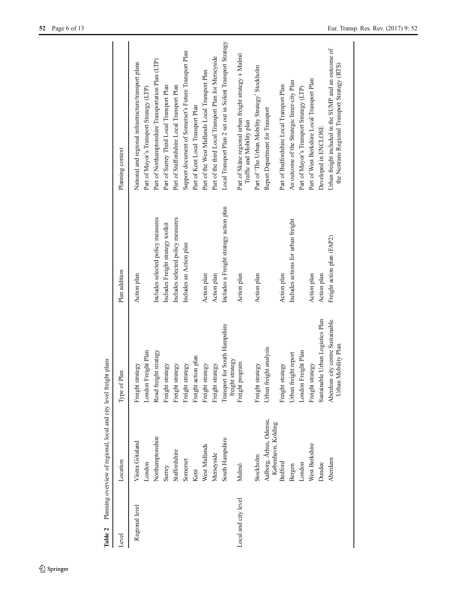<span id="page-5-0"></span>

| Table 2              | Planning overview of regional, local and city level freight plans |                                                         |                                                                        |                                                                                                        |
|----------------------|-------------------------------------------------------------------|---------------------------------------------------------|------------------------------------------------------------------------|--------------------------------------------------------------------------------------------------------|
| Level                | Location                                                          | Type of Plan                                            | Plan addition                                                          | Planning context                                                                                       |
| Regional level       | Västra Götaland<br>London                                         | London Freight Plan<br>Freight strategy                 | Action plan                                                            | National and regional infrastructure/transport plans<br>Part of Mayor's Transport Strategy (LTP)       |
|                      | Northamptonshire                                                  | Road freight strategy                                   | Includes selected policy measures                                      | Part of Northamptonshire Transportation Plan (LTP)                                                     |
|                      | Staffordshire<br>Surrey                                           | Freight strategy<br>Freight strategy                    | Includes selected policy measures<br>Includes Freight strategy toolkit | Part of Surrey Third Local Transport Plan<br>Part of Staffordshire Local Transport Plan                |
|                      | Somerset                                                          | Freight strategy                                        | Includes an Action plan                                                | Support document of Somerset's Future Transport Plan                                                   |
|                      | Kent                                                              | Freight action plan                                     |                                                                        | Part of Kent Local Transport Plan                                                                      |
|                      | West Midlands                                                     | Freight strategy                                        | Action plan                                                            | Part of the West Midlands Local Transport Plan                                                         |
|                      | Merseyside                                                        | Freight strategy                                        | Action plan                                                            | Part of the third Local Transport Plan for Merseyside                                                  |
|                      | South Hampshire                                                   | Transport for South Hampshire<br>freight strategy       | Includes a Freight strategy action plan                                | Local Transport Plan 2 set out in Solent Transport Strategy                                            |
| Local and city level | Malmö                                                             | Freight program                                         | Action plan                                                            | Part of Skåne regional urban freight strategy + Malmö<br>Traffic and Mobility plan                     |
|                      | Stockholm                                                         | Freight strategy                                        | Action plan                                                            | Part of 'The Urban Mobility Strategy' Stockholm                                                        |
|                      | Aalborg, Århus, Odense,<br>København, Kolding                     | Urban freight analysis                                  |                                                                        | Report Department for Transport                                                                        |
|                      | Bedford                                                           | Freight strategy                                        | Action plan                                                            | Part of Bedfordshire Local Transport Plan                                                              |
|                      | Bergen                                                            | Urban freight report                                    | Includes actions for urban freight                                     | An outcome of the Strategic Inner-city Plan                                                            |
|                      | London                                                            | Freight Plan<br>London                                  |                                                                        | Part of Mayor's Transport Strategy (LTP)                                                               |
|                      | West Berkshire                                                    | Freight strategy                                        | Action plan                                                            | Part of West Berkshire Local Transport Plan                                                            |
|                      | Dundee                                                            | Sustainable Urban Logistics Plan                        | Action plan                                                            | Developed in ENCLOSE                                                                                   |
|                      | Aberdeen                                                          | Aberdeen city centre Sustainable<br>Urban Mobility Plan | Freight action plan (FAP2)                                             | Urban freight included in the SUMP and an outcome of<br>the Nestrans Regional Transport Strategy (RTS) |
|                      |                                                                   |                                                         |                                                                        |                                                                                                        |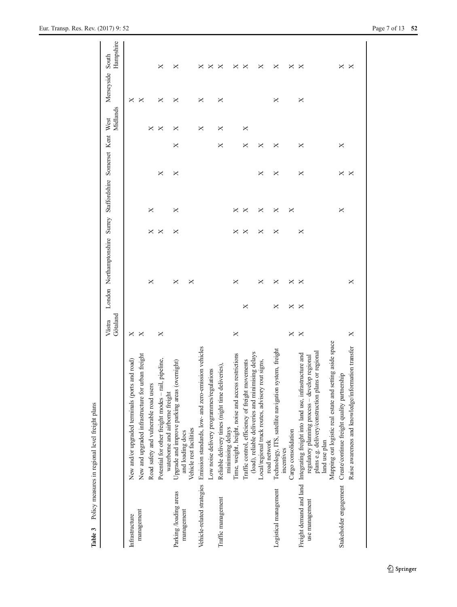<span id="page-6-0"></span>

| Table 3                              | Policy measures in regional level freight plans                                                                                                                                                                                                                    |                    |   |                                                                 |   |   |   |   |          |                  |           |
|--------------------------------------|--------------------------------------------------------------------------------------------------------------------------------------------------------------------------------------------------------------------------------------------------------------------|--------------------|---|-----------------------------------------------------------------|---|---|---|---|----------|------------------|-----------|
|                                      |                                                                                                                                                                                                                                                                    | Götaland<br>Västra |   | London Northamptonshire Surrey Staffordshire Somerset Kent West |   |   |   |   | Midlands | Merseyside South | Hampshire |
| management<br>Infrastructure         | New and upgraded infrastructure for urban freight<br>New and/or upgraded terminals (ports and road)                                                                                                                                                                | ×<br>×             |   |                                                                 |   |   |   |   |          | ×<br>×           |           |
|                                      | Road safety and vulnerable road users                                                                                                                                                                                                                              |                    |   | ×                                                               | × | × |   |   | ×        |                  |           |
|                                      | Potential for other freight modes - rail, pipeline,<br>waterborne and airborne freight                                                                                                                                                                             | ×                  |   |                                                                 | × |   | × |   | ×        | ×                | ×         |
| Parking /loading areas<br>management | overnight)<br>Upgrade and improve parking areas (<br>and loading docs                                                                                                                                                                                              |                    |   | ×                                                               | × | × | × | × | ×        | ×                | ×         |
|                                      | Vehicle rest facilities                                                                                                                                                                                                                                            |                    |   | ×                                                               |   |   |   |   |          |                  |           |
|                                      | Vehicle-related strategies Emission standards, low- and zero-emission vehicles                                                                                                                                                                                     |                    |   |                                                                 |   |   |   |   | ×        | ×                | ×         |
|                                      | Low noise delivery programmes/regulations                                                                                                                                                                                                                          |                    |   |                                                                 |   |   |   |   |          |                  |           |
| Traffic management                   | Reliable delivery times (night time deliveries).<br>minimising delays                                                                                                                                                                                              |                    |   |                                                                 |   |   |   | × | ×        | ×                | ×         |
|                                      | Time, weight, height, noise and access restrictions                                                                                                                                                                                                                | ×                  |   | ×                                                               | × |   |   |   |          |                  | ×         |
|                                      | (load), reliable deliveries and minimising delays<br>Traffic control, efficiency of freight movements                                                                                                                                                              |                    | × |                                                                 | × | × |   | × | ×        |                  | ×         |
|                                      | Local/regional truck routes, advisory rout signs,<br>road network                                                                                                                                                                                                  |                    |   | ×                                                               | × | × | × | × |          |                  | ×         |
| Logistical management                | system, freight<br>Technology, ITS, satellite navigation<br>incentives                                                                                                                                                                                             |                    | × | ×                                                               | × | × | × | × |          | ×                | ×         |
|                                      | Cargo consolidation                                                                                                                                                                                                                                                | ×                  | × | ×                                                               |   | × |   |   |          |                  | ×         |
| use management                       | Mapping out logistic real estate and setting aside space<br>plans e.g. delivery/construction plans or regional<br>Freight demand and land Integrating freight into land use, infrastructure and<br>regulatory planning process - develop regional<br>land use plan | ×                  | × | ×                                                               | × |   | × | × |          | ×                | ×         |
| Stakeholder engagement               | Create/continue freight quality partnership                                                                                                                                                                                                                        |                    |   |                                                                 |   | × | × | × |          |                  | ×         |
|                                      | Raise awareness and knowledge/information transfer                                                                                                                                                                                                                 | ×                  |   | ×                                                               |   |   | × |   |          |                  | ×         |
|                                      |                                                                                                                                                                                                                                                                    |                    |   |                                                                 |   |   |   |   |          |                  |           |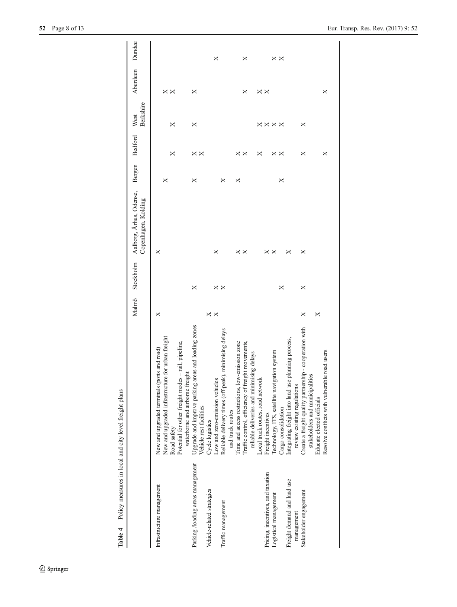<span id="page-7-0"></span>

| ة: | Page 8 of 13 |  |  |
|----|--------------|--|--|
|    |              |  |  |

|                                                                     |                                                                                                                                                                                                                                                               |                       |               | Malmö Stockholm Aalborg, Arhus, Odense,<br>Copenhagen, Kolding |   | Bergen Bedford | Berkshire<br>West          | Aberdeen Dundee   |                 |
|---------------------------------------------------------------------|---------------------------------------------------------------------------------------------------------------------------------------------------------------------------------------------------------------------------------------------------------------|-----------------------|---------------|----------------------------------------------------------------|---|----------------|----------------------------|-------------------|-----------------|
| Infrastructure management                                           | New and upgraded infrastructure for urban freight<br>Potential for other freight modes - rail, pipeline,<br>New and upgraded terminals (ports and road)<br>waterborne and airborne freight<br>Road safety                                                     | ×                     |               | ×                                                              | × | ×              | ×                          | $\times$ $\times$ |                 |
| Parking /loading areas management<br>Vehicle-related strategies     | Upgrade and improve parking areas and loading zones<br>Vehicle rest facilities<br>Cycle logistics                                                                                                                                                             | X                     | ×             |                                                                | × | $\times\times$ | ×                          | ×                 |                 |
| Traffic management                                                  | Reliable delivery times (off-peak), minimising delays<br>Low and zero-emission vehicles<br>and truck routes                                                                                                                                                   | $\boldsymbol{\times}$ | $\times$<br>× | ×                                                              | × |                |                            |                   | ×               |
|                                                                     | low-emission zone<br>Traffic control, efficiency of freight movements,<br>reliable deliveries and minimising delays<br>Local truck routes, road network<br>Time and access restrictions,                                                                      |                       |               | ×<br>×                                                         | × | ×<br>×<br>×    | ×                          | ×                 | ×               |
| Pricing, incentives, and taxation<br>Logistical management          | Technology, ITS, satellite navigation system<br>Cargo consolidation<br>Freight incentives                                                                                                                                                                     |                       | ×             | ×<br>×                                                         | × | $\times$<br>×  | $\Join$<br>$\times \times$ | $\times \times$   | $\times \times$ |
| Freight demand and land use<br>Stakeholder engagement<br>management | Create a freight quality partnership - cooperation with<br>Integrating freight into land use planning process,<br>Resolve conflicts with vulnerable road users<br>stakeholders and municipalities<br>review existing regulations<br>Educate elected officials | ×<br>×                | ×             | ×<br>×                                                         |   | ×<br>×         | ×                          | ×                 |                 |

Table 4 Policy measures in local and city level freight plans Table 4 Policy measures in local and city level freight plans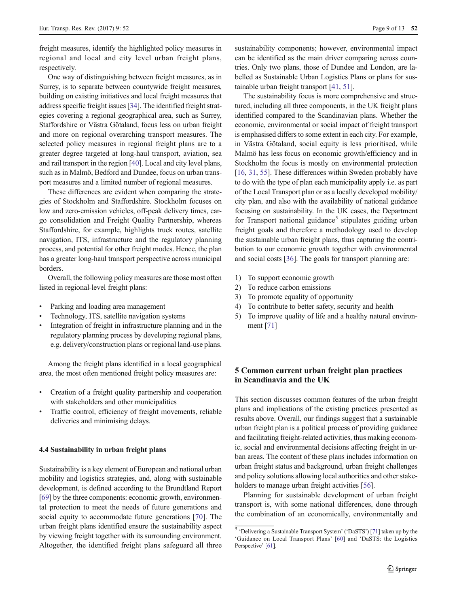<span id="page-8-0"></span>freight measures, identify the highlighted policy measures in regional and local and city level urban freight plans, respectively.

One way of distinguishing between freight measures, as in Surrey, is to separate between countywide freight measures, building on existing initiatives and local freight measures that address specific freight issues [\[34\]](#page-11-0). The identified freight strategies covering a regional geographical area, such as Surrey, Staffordshire or Västra Götaland, focus less on urban freight and more on regional overarching transport measures. The selected policy measures in regional freight plans are to a greater degree targeted at long-haul transport, aviation, sea and rail transport in the region [\[40](#page-11-0)]. Local and city level plans, such as in Malmö, Bedford and Dundee, focus on urban transport measures and a limited number of regional measures.

These differences are evident when comparing the strategies of Stockholm and Staffordshire. Stockholm focuses on low and zero-emission vehicles, off-peak delivery times, cargo consolidation and Freight Quality Partnership, whereas Staffordshire, for example, highlights truck routes, satellite navigation, ITS, infrastructure and the regulatory planning process, and potential for other freight modes. Hence, the plan has a greater long-haul transport perspective across municipal borders.

Overall, the following policy measures are those most often listed in regional-level freight plans:

- Parking and loading area management
- Technology, ITS, satellite navigation systems
- Integration of freight in infrastructure planning and in the regulatory planning process by developing regional plans, e.g. delivery/construction plans or regional land-use plans.

Among the freight plans identified in a local geographical area, the most often mentioned freight policy measures are:

- & Creation of a freight quality partnership and cooperation with stakeholders and other municipalities
- Traffic control, efficiency of freight movements, reliable deliveries and minimising delays.

## 4.4 Sustainability in urban freight plans

Sustainability is a key element of European and national urban mobility and logistics strategies, and, along with sustainable development, is defined according to the Brundtland Report [\[69\]](#page-12-0) by the three components: economic growth, environmental protection to meet the needs of future generations and social equity to accommodate future generations [\[70](#page-12-0)]. The urban freight plans identified ensure the sustainability aspect by viewing freight together with its surrounding environment. Altogether, the identified freight plans safeguard all three sustainability components; however, environmental impact can be identified as the main driver comparing across countries. Only two plans, those of Dundee and London, are labelled as Sustainable Urban Logistics Plans or plans for sustainable urban freight transport [\[41,](#page-11-0) [51\]](#page-11-0).

The sustainability focus is more comprehensive and structured, including all three components, in the UK freight plans identified compared to the Scandinavian plans. Whether the economic, environmental or social impact of freight transport is emphasised differs to some extent in each city. For example, in Västra Götaland, social equity is less prioritised, while Malmö has less focus on economic growth/efficiency and in Stockholm the focus is mostly on environmental protection [\[16](#page-11-0), [31,](#page-11-0) [55\]](#page-11-0). These differences within Sweden probably have to do with the type of plan each municipality apply i.e. as part of the Local Transport plan or as a locally developed mobility/ city plan, and also with the availability of national guidance focusing on sustainability. In the UK cases, the Department for Transport national guidance<sup>5</sup> stipulates guiding urban freight goals and therefore a methodology used to develop the sustainable urban freight plans, thus capturing the contribution to our economic growth together with environmental and social costs [\[36\]](#page-11-0). The goals for transport planning are:

- 1) To support economic growth
- 2) To reduce carbon emissions
- 3) To promote equality of opportunity
- 4) To contribute to better safety, security and health
- 5) To improve quality of life and a healthy natural environment [\[71\]](#page-12-0)

# 5 Common current urban freight plan practices in Scandinavia and the UK

This section discusses common features of the urban freight plans and implications of the existing practices presented as results above. Overall, our findings suggest that a sustainable urban freight plan is a political process of providing guidance and facilitating freight-related activities, thus making economic, social and environmental decisions affecting freight in urban areas. The content of these plans includes information on urban freight status and background, urban freight challenges and policy solutions allowing local authorities and other stake-holders to manage urban freight activities [[56](#page-11-0)].

Planning for sustainable development of urban freight transport is, with some national differences, done through the combination of an economically, environmentally and

<sup>5</sup> 'Delivering a Sustainable Transport System' ('DaSTS') [\[71](#page-12-0)] taken up by the 'Guidance on Local Transport Plans' [[60](#page-11-0)] and 'DaSTS: the Logistics Perspective' [\[61](#page-11-0)].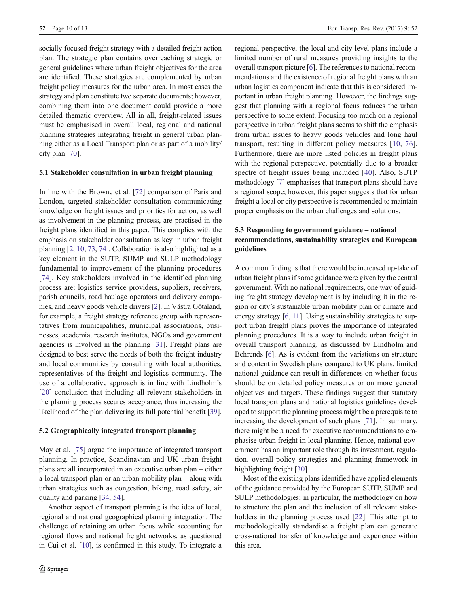socially focused freight strategy with a detailed freight action plan. The strategic plan contains overreaching strategic or general guidelines where urban freight objectives for the area are identified. These strategies are complemented by urban freight policy measures for the urban area. In most cases the strategy and plan constitute two separate documents; however, combining them into one document could provide a more detailed thematic overview. All in all, freight-related issues must be emphasised in overall local, regional and national planning strategies integrating freight in general urban planning either as a Local Transport plan or as part of a mobility/ city plan [[70](#page-12-0)].

## 5.1 Stakeholder consultation in urban freight planning

In line with the Browne et al. [\[72\]](#page-12-0) comparison of Paris and London, targeted stakeholder consultation communicating knowledge on freight issues and priorities for action, as well as involvement in the planning process, are practised in the freight plans identified in this paper. This complies with the emphasis on stakeholder consultation as key in urban freight planning [\[2](#page-10-0), [10,](#page-10-0) [73](#page-12-0), [74\]](#page-12-0). Collaboration is also highlighted as a key element in the SUTP, SUMP and SULP methodology fundamental to improvement of the planning procedures [\[74](#page-12-0)]. Key stakeholders involved in the identified planning process are: logistics service providers, suppliers, receivers, parish councils, road haulage operators and delivery companies, and heavy goods vehicle drivers [[2\]](#page-10-0). In Västra Götaland, for example, a freight strategy reference group with representatives from municipalities, municipal associations, businesses, academia, research institutes, NGOs and government agencies is involved in the planning [[31\]](#page-11-0). Freight plans are designed to best serve the needs of both the freight industry and local communities by consulting with local authorities, representatives of the freight and logistics community. The use of a collaborative approach is in line with Lindholm's [\[20](#page-11-0)] conclusion that including all relevant stakeholders in the planning process secures acceptance, thus increasing the likelihood of the plan delivering its full potential benefit [[39\]](#page-11-0).

#### 5.2 Geographically integrated transport planning

May et al. [\[75](#page-12-0)] argue the importance of integrated transport planning. In practice, Scandinavian and UK urban freight plans are all incorporated in an executive urban plan – either a local transport plan or an urban mobility plan – along with urban strategies such as congestion, biking, road safety, air quality and parking [[34](#page-11-0), [54](#page-11-0)].

Another aspect of transport planning is the idea of local, regional and national geographical planning integration. The challenge of retaining an urban focus while accounting for regional flows and national freight networks, as questioned in Cui et al. [\[10](#page-10-0)], is confirmed in this study. To integrate a regional perspective, the local and city level plans include a limited number of rural measures providing insights to the overall transport picture [\[6\]](#page-10-0). The references to national recommendations and the existence of regional freight plans with an urban logistics component indicate that this is considered important in urban freight planning. However, the findings suggest that planning with a regional focus reduces the urban perspective to some extent. Focusing too much on a regional perspective in urban freight plans seems to shift the emphasis from urban issues to heavy goods vehicles and long haul transport, resulting in different policy measures [[10,](#page-10-0) [76](#page-12-0)]. Furthermore, there are more listed policies in freight plans with the regional perspective, potentially due to a broader spectre of freight issues being included [\[40](#page-11-0)]. Also, SUTP methodology [\[7](#page-10-0)] emphasises that transport plans should have a regional scope; however, this paper suggests that for urban freight a local or city perspective is recommended to maintain proper emphasis on the urban challenges and solutions.

# 5.3 Responding to government guidance – national recommendations, sustainability strategies and European guidelines

A common finding is that there would be increased up-take of urban freight plans if some guidance were given by the central government. With no national requirements, one way of guiding freight strategy development is by including it in the region or city's sustainable urban mobility plan or climate and energy strategy [\[6](#page-10-0), [11\]](#page-10-0). Using sustainability strategies to support urban freight plans proves the importance of integrated planning procedures. It is a way to include urban freight in overall transport planning, as discussed by Lindholm and Behrends [\[6](#page-10-0)]. As is evident from the variations on structure and content in Swedish plans compared to UK plans, limited national guidance can result in differences on whether focus should be on detailed policy measures or on more general objectives and targets. These findings suggest that statutory local transport plans and national logistics guidelines developed to support the planning process might be a prerequisite to increasing the development of such plans [\[71](#page-12-0)]. In summary, there might be a need for executive recommendations to emphasise urban freight in local planning. Hence, national government has an important role through its investment, regulation, overall policy strategies and planning framework in highlighting freight [\[30](#page-11-0)].

Most of the existing plans identified have applied elements of the guidance provided by the European SUTP, SUMP and SULP methodologies; in particular, the methodology on how to structure the plan and the inclusion of all relevant stakeholders in the planning process used [[22\]](#page-11-0). This attempt to methodologically standardise a freight plan can generate cross-national transfer of knowledge and experience within this area.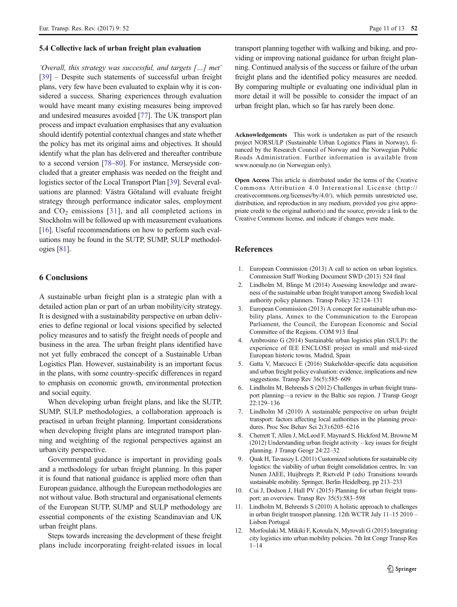#### <span id="page-10-0"></span>5.4 Collective lack of urban freight plan evaluation

'Overall, this strategy was successful, and targets […] met' [\[39](#page-11-0)] – Despite such statements of successful urban freight plans, very few have been evaluated to explain why it is considered a success. Sharing experiences through evaluation would have meant many existing measures being improved and undesired measures avoided [\[77\]](#page-12-0). The UK transport plan process and impact evaluation emphasises that any evaluation should identify potential contextual changes and state whether the policy has met its original aims and objectives. It should identify what the plan has delivered and thereafter contribute to a second version [[78](#page-12-0)–[80](#page-12-0)]. For instance, Merseyside concluded that a greater emphasis was needed on the freight and logistics sector of the Local Transport Plan [\[39\]](#page-11-0). Several evaluations are planned: Västra Götaland will evaluate freight strategy through performance indicator sales, employment and  $CO<sub>2</sub>$  emissions [[31\]](#page-11-0), and all completed actions in Stockholm will be followed up with measurement evaluations [\[16\]](#page-11-0). Useful recommendations on how to perform such evaluations may be found in the SUTP, SUMP, SULP methodologies [\[81](#page-12-0)].

# 6 Conclusions

A sustainable urban freight plan is a strategic plan with a detailed action plan or part of an urban mobility/city strategy. It is designed with a sustainability perspective on urban deliveries to define regional or local visions specified by selected policy measures and to satisfy the freight needs of people and business in the area. The urban freight plans identified have not yet fully embraced the concept of a Sustainable Urban Logistics Plan. However, sustainability is an important focus in the plans, with some country-specific differences in regard to emphasis on economic growth, environmental protection and social equity.

When developing urban freight plans, and like the SUTP, SUMP, SULP methodologies, a collaboration approach is practised in urban freight planning. Important considerations when developing freight plans are integrated transport planning and weighting of the regional perspectives against an urban/city perspective.

Governmental guidance is important in providing goals and a methodology for urban freight planning. In this paper it is found that national guidance is applied more often than European guidance, although the European methodologies are not without value. Both structural and organisational elements of the European SUTP, SUMP and SULP methodology are essential components of the existing Scandinavian and UK urban freight plans.

Steps towards increasing the development of these freight plans include incorporating freight-related issues in local

transport planning together with walking and biking, and providing or improving national guidance for urban freight planning. Continued analysis of the success or failure of the urban freight plans and the identified policy measures are needed. By comparing multiple or evaluating one individual plan in more detail it will be possible to consider the impact of an urban freight plan, which so far has rarely been done.

Acknowledgements This work is undertaken as part of the research project NORSULP (Sustainable Urban Logistics Plans in Norway), financed by the Research Council of Norway and the Norwegian Public Roads Administration. Further information is available from www.norsulp.no (in Norwegian only).

Open Access This article is distributed under the terms of the Creative Commons Attribution 4.0 International License (http:// creativecommons.org/licenses/by/4.0/), which permits unrestricted use, distribution, and reproduction in any medium, provided you give appropriate credit to the original author(s) and the source, provide a link to the Creative Commons license, and indicate if changes were made.

## References

- 1. European Commission (2013) A call to action on urban logistics. Commission Staff Working Document SWD (2013) 524 final
- 2. Lindholm M, Blinge M (2014) Assessing knowledge and awareness of the sustainable urban freight transport among Swedish local authority policy planners. Transp Policy 32:124–131
- 3. European Commission (2013) A concept for sustainable urban mobility plans, Annex to the Communication to the European Parliament, the Council, the European Economic and Social Committee of the Regions. COM 913 final
- 4. Ambrosino G (2014) Sustainable urban logistics plan (SULP): the experience of IEE ENCLOSE project in small and mid-sized European historic towns. Madrid, Spain
- 5. Gatta V, Marcucci E (2016) Stakeholder-specific data acquisition and urban freight policy evaluation: evidence, implications and new suggestions. Transp Rev 36(5):585–609
- 6. Lindholm M, Behrends S (2012) Challenges in urban freight transport planning—a review in the Baltic sea region. J Transp Geogr 22:129–136
- 7. Lindholm M (2010) A sustainable perspective on urban freight transport: factors affecting local authorities in the planning procedures. Proc Soc Behav Sci 2(3):6205–6216
- 8. Cherrett T, Allen J, McLeod F, Maynard S, Hickford M, Browne M (2012) Understanding urban freight activity – key issues for freight planning. J Transp Geogr 24:22–32
- 9. Quak H, Tavasszy L (2011) Customized solutions for sustainable city logistics: the viability of urban freight consolidation centres. In: van Nunen JAEE, Huijbregts P, Rietveld P (eds) Transitions towards sustainable mobility. Springer, Berlin Heidelberg, pp 213–233
- 10. Cui J, Dodson J, Hall PV (2015) Planning for urban freight transport: an overview. Transp Rev 35(5):583–598
- 11. Lindholm M, Behrends S (2010) A holistic approach to challenges in urban freight transport planning. 12th WCTR July 11–15 2010 – Lisbon Portugal
- 12. Morfoulaki M, Mikiki F, Kotoula N, Myrovali G (2015) Integrating city logistics into urban mobility policies. 7th Int Congr Transp Res 1–14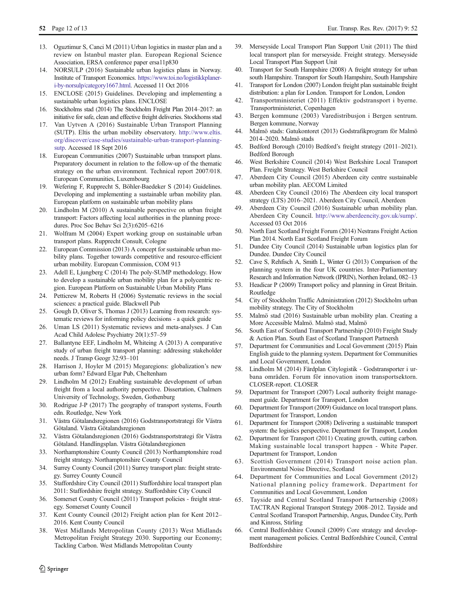- <span id="page-11-0"></span>13. Oguztimur S, Canci M (2011) Urban logistics in master plan and a review on İstanbul master plan. European Regional Science Association, ERSA conference paper ersa11p830
- 14. NORSULP (2016) Sustainable urban logistics plans in Norway. Institute of Transport Economics. [https://www.toi.no/logistikkplaner](https://www.toi.no/logistikkplaner-i-by-norsulp/category1667.html)[i-by-norsulp/category1667.html](https://www.toi.no/logistikkplaner-i-by-norsulp/category1667.html). Accessed 11 Oct 2016
- 15. ENCLOSE (2015) Guidelines. Developing and implementing a sustainable urban logistics plans. ENCLOSE
- 16. Stockholms stad (2014) The Stockholm Freight Plan 2014–2017: an initiative for safe, clean and effective freight deliveries. Stockhoms stad
- 17. Van Uytven A (2016) Sustainable Urban Transport Planning (SUTP). Eltis the urban mobility observatory. [http://www.eltis.](http://www.eltis.org/discover/case-studies/sustainable-urban-transport-planning-sutp) [org/discover/case-studies/sustainable-urban-transport-planning](http://www.eltis.org/discover/case-studies/sustainable-urban-transport-planning-sutp)[sutp](http://www.eltis.org/discover/case-studies/sustainable-urban-transport-planning-sutp). Accessed 18 Sept 2016
- 18. European Communities (2007) Sustainable urban transport plans. Preparatory document in relation to the follow-up of the thematic strategy on the urban environment. Technical report 2007/018. European Communities, Luxembourg
- 19. Wefering F, Rupprecht S, Böhler-Baedeker S (2014) Guidelines. Developing and implementing a sustainable urban mobility plan. European platform on sustainable urban mobility plans
- 20. Lindholm M (2010) A sustainable perspective on urban freight transport: Factors affecting local authorities in the planning procedures. Proc Soc Behav Sci 2(3):6205–6216
- 21. Wolfram M (2004) Expert working group on sustainable urban transport plans. Rupprecht Consult, Cologne
- 22. European Commission (2013) A concept for sustainable urban mobility plans. Together towards competitive and resource-efficient urban mobility. European Commission, COM 913
- 23. Adell E, Ljungberg C (2014) The poly-SUMP methodology. How to develop a sustainable urban mobility plan for a polycentric region. European Platform on Sustainable Urban Mobility Plans
- 24. Petticrew M, Roberts H (2006) Systematic reviews in the social sciences: a practical guide. Blackwell Pub
- 25. Gough D, Oliver S, Thomas J (2013) Learning from research: systematic reviews for informing policy decisions - a quick guide
- 26. Uman LS (2011) Systematic reviews and meta-analyses. J Can Acad Child Adolesc Psychiatry 20(1):57–59
- 27. Ballantyne EEF, Lindholm M, Whiteing A (2013) A comparative study of urban freight transport planning: addressing stakeholder needs. J Transp Geogr 32:93–101
- 28. Harrison J, Hoyler M (2015) Megaregions: globalization's new urban form? Edward Elgar Pub, Cheltenham
- 29. Lindholm M (2012) Enabling sustainable development of urban freight from a local authority perspective. Dissertation, Chalmers University of Technology, Sweden, Gothenburg
- 30. Rodrigue J-P (2017) The geography of transport systems, Fourth edn. Routledge, New York
- 31. Västra Götalandsregionen (2016) Godstransportstrategi för Västra Götaland. Västra Götalandsregionen
- 32. Västra Götalandsregionen (2016) Godstransportstrategi för Västra Götaland. Handlingsplan. Västra Götalandsregionen
- 33. Northamptonshire County Council (2013) Northamptonshire road freight strategy. Northamptonshire County Council
- 34. Surrey County Council (2011) Surrey transport plan: freight strategy. Surrey County Council
- 35. Staffordshire City Council (2011) Staffordshire local transport plan 2011: Staffordshire freight strategy. Staffordshire City Council
- 36. Somerset County Council (2011) Transport policies freight strategy. Somerset County Council
- 37. Kent County Council (2012) Freight action plan for Kent 2012– 2016. Kent County Council
- 38. West Midlands Metropolitan County (2013) West Midlands Metropolitan Freight Strategy 2030. Supporting our Economy; Tackling Carbon. West Midlands Metropolitan County
- 39. Merseyside Local Transport Plan Support Unit (2011) The third local transport plan for merseyside. Freight strategy. Merseyside Local Transport Plan Support Unit
- 40. Transport for South Hampshire (2008) A freight strategy for urban south Hampshire. Transport for South Hampshire, South Hampshire
- 41. Transport for London (2007) London freight plan sustainable freight distribution: a plan for London. Transport for London, London
- 42. Transportministeriet (2011) Effektiv godstransport i byerne. Transportministeriet, Copenhagen
- 43. Bergen kommune (2003) Varedistribusjon i Bergen sentrum. Bergen kommune, Norway
- 44. Malmö stads: Gatukontoret (2013) Godstrafikprogram för Malmö 2014–2020. Malmö stads
- 45. Bedford Borough (2010) Bedford's freight strategy (2011–2021). Bedford Borough
- 46. West Berkshire Council (2014) West Berkshire Local Transport Plan. Freight Strategy. West Berkshire Council
- 47. Aberdeen City Council (2015) Aberdeen city centre sustainable urban mobility plan. AECOM Limited
- 48. Aberdeen City Council (2016) The Aberdeen city local transport strategy (LTS) 2016–2021. Aberdeen City Council, Aberdeen
- 49. Aberdeen City Council (2016) Sustainable urban mobility plan. Aberdeen City Council. [http://www.aberdeencity.gov.uk/sump/](http://www.aberdeencity.gov.uk/sump). Accessed 03 Oct 2016
- 50. North East Scotland Freight Forum (2014) Nestrans Freight Action Plan 2014. North East Scotland Freight Forum
- 51. Dundee City Council (2014) Sustainable urban logistics plan for Dundee. Dundee City Council
- 52. Cave S, Rehfisch A, Smith L, Winter G (2013) Comparison of the planning system in the four UK countries. Inter-Parliamentary Research and Information Network (IPRIN), Northen Ireland, 082–13
- 53. Headicar P (2009) Transport policy and planning in Great Britain. Routledge
- 54. City of Stockholm Traffic Administration (2012) Stockholm urban mobility strategy. The City of Stockholm
- 55. Malmö stad (2016) Sustainable urban mobility plan. Creating a More Accessible Malmö. Malmö stad, Malmö
- 56. South East of Scotland Transport Partnership (2010) Freight Study & Action Plan. South East of Scotland Transport Partnersh
- 57. Department for Communities and Local Government (2015) Plain English guide to the planning system. Department for Communities and Local Government, London
- 58. Lindholm M (2014) Färdplan Citylogistik Godstransporter i urbana områden. Forum för innovation inom transportsektorn. CLOSER-report. CLOSER
- 59. Department for Transport (2007) Local authority freight management guide. Department for Transport, London
- 60. Department for Transport (2009) Guidance on local transport plans. Department for Transport, London
- 61. Department for Transport (2008) Delivering a sustainable transport system: the logistics perspective. Department for Transport, London
- 62. Department for Transport (2011) Creating growth, cutting carbon. Making sustainable local transport happen - White Paper. Department for Transport, London
- 63. Scottish Government (2014) Transport noise action plan. Environmental Noise Directive, Scotland
- 64. Department for Communities and Local Government (2012) National planning policy framework. Department for Communities and Local Government, London
- 65. Tayside and Central Scotland Transport Partnership (2008) TACTRAN Regional Transport Strategy 2008–2012. Tayside and Central Scotland Transport Partnership, Angus, Dundee City, Perth and Kinross, Stirling
- 66. Central Bedfordshire Council (2009) Core strategy and development management policies. Central Bedfordshire Council, Central Bedfordshire